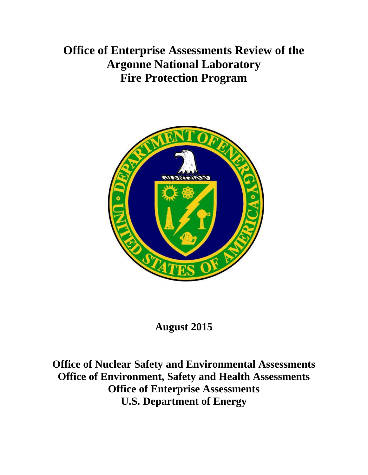**Office of Enterprise Assessments Review of the Argonne National Laboratory Fire Protection Program**



# **August 2015**

**Office of Nuclear Safety and Environmental Assessments Office of Environment, Safety and Health Assessments Office of Enterprise Assessments U.S. Department of Energy**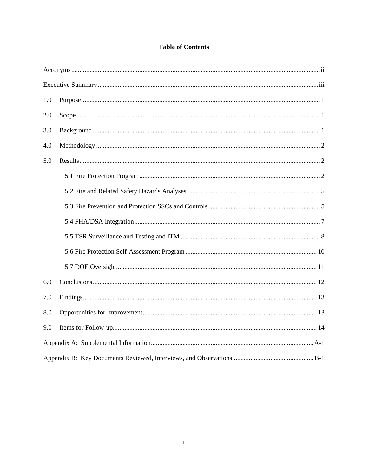## **Table of Contents**

| 1.0 |  |  |
|-----|--|--|
| 2.0 |  |  |
| 3.0 |  |  |
| 4.0 |  |  |
| 5.0 |  |  |
|     |  |  |
|     |  |  |
|     |  |  |
|     |  |  |
|     |  |  |
|     |  |  |
|     |  |  |
| 6.0 |  |  |
| 7.0 |  |  |
| 8.0 |  |  |
| 9.0 |  |  |
|     |  |  |
|     |  |  |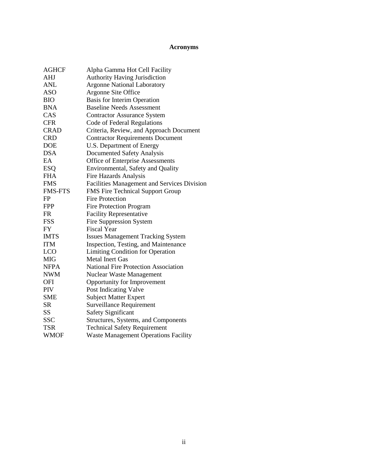## **Acronyms**

| <b>AGHCF</b>   | Alpha Gamma Hot Cell Facility               |
|----------------|---------------------------------------------|
| AHJ            | <b>Authority Having Jurisdiction</b>        |
| ANL            | <b>Argonne National Laboratory</b>          |
| <b>ASO</b>     | Argonne Site Office                         |
| <b>BIO</b>     | Basis for Interim Operation                 |
| <b>BNA</b>     | <b>Baseline Needs Assessment</b>            |
| CAS            | <b>Contractor Assurance System</b>          |
| <b>CFR</b>     | Code of Federal Regulations                 |
| <b>CRAD</b>    | Criteria, Review, and Approach Document     |
| <b>CRD</b>     | <b>Contractor Requirements Document</b>     |
| <b>DOE</b>     | U.S. Department of Energy                   |
| <b>DSA</b>     | <b>Documented Safety Analysis</b>           |
| EA             | Office of Enterprise Assessments            |
| <b>ESQ</b>     | Environmental, Safety and Quality           |
| <b>FHA</b>     | <b>Fire Hazards Analysis</b>                |
| <b>FMS</b>     | Facilities Management and Services Division |
| <b>FMS-FTS</b> | FMS Fire Technical Support Group            |
| FP             | <b>Fire Protection</b>                      |
| <b>FPP</b>     | <b>Fire Protection Program</b>              |
| <b>FR</b>      | <b>Facility Representative</b>              |
| <b>FSS</b>     | <b>Fire Suppression System</b>              |
| <b>FY</b>      | <b>Fiscal Year</b>                          |
| <b>IMTS</b>    | <b>Issues Management Tracking System</b>    |
| <b>ITM</b>     | Inspection, Testing, and Maintenance        |
| <b>LCO</b>     | <b>Limiting Condition for Operation</b>     |
| <b>MIG</b>     | <b>Metal Inert Gas</b>                      |
| <b>NFPA</b>    | <b>National Fire Protection Association</b> |
| <b>NWM</b>     | <b>Nuclear Waste Management</b>             |
| <b>OFI</b>     | Opportunity for Improvement                 |
| PIV            | Post Indicating Valve                       |
| <b>SME</b>     | <b>Subject Matter Expert</b>                |
| <b>SR</b>      | <b>Surveillance Requirement</b>             |
| <b>SS</b>      | <b>Safety Significant</b>                   |
| <b>SSC</b>     | Structures, Systems, and Components         |
| <b>TSR</b>     | <b>Technical Safety Requirement</b>         |
| <b>WMOF</b>    | <b>Waste Management Operations Facility</b> |
|                |                                             |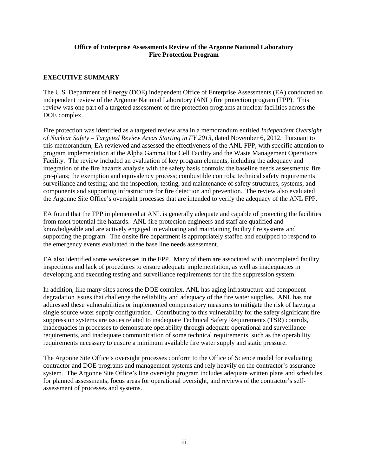#### **Office of Enterprise Assessments Review of the Argonne National Laboratory Fire Protection Program**

## **EXECUTIVE SUMMARY**

The U.S. Department of Energy (DOE) independent Office of Enterprise Assessments (EA) conducted an independent review of the Argonne National Laboratory (ANL) fire protection program (FPP). This review was one part of a targeted assessment of fire protection programs at nuclear facilities across the DOE complex.

Fire protection was identified as a targeted review area in a memorandum entitled *Independent Oversight of Nuclear Safety – Targeted Review Areas Starting in FY 2013*, dated November 6, 2012. Pursuant to this memorandum, EA reviewed and assessed the effectiveness of the ANL FPP, with specific attention to program implementation at the Alpha Gamma Hot Cell Facility and the Waste Management Operations Facility. The review included an evaluation of key program elements, including the adequacy and integration of the fire hazards analysis with the safety basis controls; the baseline needs assessments; fire pre-plans; the exemption and equivalency process; combustible controls; technical safety requirements surveillance and testing; and the inspection, testing, and maintenance of safety structures, systems, and components and supporting infrastructure for fire detection and prevention. The review also evaluated the Argonne Site Office's oversight processes that are intended to verify the adequacy of the ANL FPP.

EA found that the FPP implemented at ANL is generally adequate and capable of protecting the facilities from most potential fire hazards. ANL fire protection engineers and staff are qualified and knowledgeable and are actively engaged in evaluating and maintaining facility fire systems and supporting the program. The onsite fire department is appropriately staffed and equipped to respond to the emergency events evaluated in the base line needs assessment.

EA also identified some weaknesses in the FPP. Many of them are associated with uncompleted facility inspections and lack of procedures to ensure adequate implementation, as well as inadequacies in developing and executing testing and surveillance requirements for the fire suppression system.

In addition, like many sites across the DOE complex, ANL has aging infrastructure and component degradation issues that challenge the reliability and adequacy of the fire water supplies. ANL has not addressed these vulnerabilities or implemented compensatory measures to mitigate the risk of having a single source water supply configuration. Contributing to this vulnerability for the safety significant fire suppression systems are issues related to inadequate Technical Safety Requirements (TSR) controls, inadequacies in processes to demonstrate operability through adequate operational and surveillance requirements, and inadequate communication of some technical requirements, such as the operability requirements necessary to ensure a minimum available fire water supply and static pressure.

The Argonne Site Office's oversight processes conform to the Office of Science model for evaluating contractor and DOE programs and management systems and rely heavily on the contractor's assurance system. The Argonne Site Office's line oversight program includes adequate written plans and schedules for planned assessments, focus areas for operational oversight, and reviews of the contractor's selfassessment of processes and systems.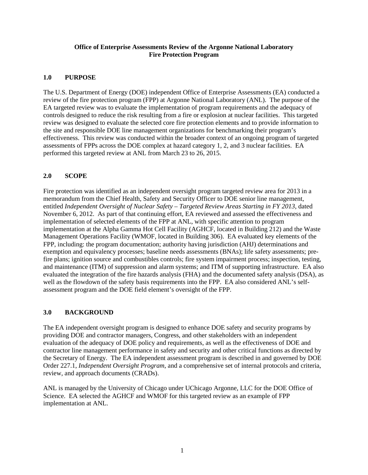#### **Office of Enterprise Assessments Review of the Argonne National Laboratory Fire Protection Program**

## **1.0 PURPOSE**

The U.S. Department of Energy (DOE) independent Office of Enterprise Assessments (EA) conducted a review of the fire protection program (FPP) at Argonne National Laboratory (ANL). The purpose of the EA targeted review was to evaluate the implementation of program requirements and the adequacy of controls designed to reduce the risk resulting from a fire or explosion at nuclear facilities. This targeted review was designed to evaluate the selected core fire protection elements and to provide information to the site and responsible DOE line management organizations for benchmarking their program's effectiveness. This review was conducted within the broader context of an ongoing program of targeted assessments of FPPs across the DOE complex at hazard category 1, 2, and 3 nuclear facilities. EA performed this targeted review at ANL from March 23 to 26, 2015.

## **2.0 SCOPE**

Fire protection was identified as an independent oversight program targeted review area for 2013 in a memorandum from the Chief Health, Safety and Security Officer to DOE senior line management, entitled *Independent Oversight of Nuclear Safety – Targeted Review Areas Starting in FY 2013*, dated November 6, 2012. As part of that continuing effort, EA reviewed and assessed the effectiveness and implementation of selected elements of the FPP at ANL, with specific attention to program implementation at the Alpha Gamma Hot Cell Facility (AGHCF, located in Building 212) and the Waste Management Operations Facility (WMOF, located in Building 306). EA evaluated key elements of the FPP, including: the program documentation; authority having jurisdiction (AHJ) determinations and exemption and equivalency processes; baseline needs assessments (BNAs); life safety assessments; prefire plans; ignition source and combustibles controls; fire system impairment process; inspection, testing, and maintenance (ITM) of suppression and alarm systems; and ITM of supporting infrastructure. EA also evaluated the integration of the fire hazards analysis (FHA) and the documented safety analysis (DSA), as well as the flowdown of the safety basis requirements into the FPP. EA also considered ANL's selfassessment program and the DOE field element's oversight of the FPP.

#### **3.0 BACKGROUND**

The EA independent oversight program is designed to enhance DOE safety and security programs by providing DOE and contractor managers, Congress, and other stakeholders with an independent evaluation of the adequacy of DOE policy and requirements, as well as the effectiveness of DOE and contractor line management performance in safety and security and other critical functions as directed by the Secretary of Energy. The EA independent assessment program is described in and governed by DOE Order 227.1, *Independent Oversight Program*, and a comprehensive set of internal protocols and criteria, review, and approach documents (CRADs).

ANL is managed by the University of Chicago under UChicago Argonne, LLC for the DOE Office of Science. EA selected the AGHCF and WMOF for this targeted review as an example of FPP implementation at ANL.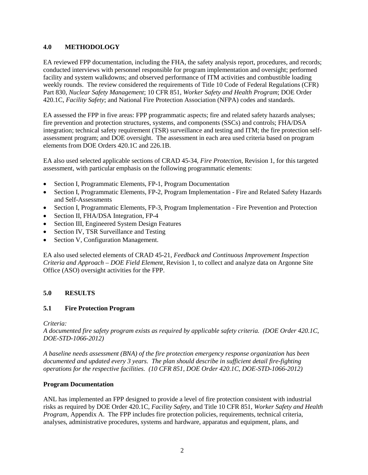## **4.0 METHODOLOGY**

EA reviewed FPP documentation, including the FHA, the safety analysis report, procedures, and records; conducted interviews with personnel responsible for program implementation and oversight; performed facility and system walkdowns; and observed performance of ITM activities and combustible loading weekly rounds. The review considered the requirements of Title 10 Code of Federal Regulations (CFR) Part 830, *Nuclear Safety Management*; 10 CFR 851, *Worker Safety and Health Program*; DOE Order 420.1C, *Facility Safety*; and National Fire Protection Association (NFPA) codes and standards.

EA assessed the FPP in five areas: FPP programmatic aspects; fire and related safety hazards analyses; fire prevention and protection structures, systems, and components (SSCs) and controls; FHA/DSA integration; technical safety requirement (TSR) surveillance and testing and ITM; the fire protection selfassessment program; and DOE oversight. The assessment in each area used criteria based on program elements from DOE Orders 420.1C and 226.1B.

EA also used selected applicable sections of CRAD 45-34, *Fire Protection*, Revision 1, for this targeted assessment, with particular emphasis on the following programmatic elements:

- Section I, Programmatic Elements, FP-1, Program Documentation
- Section I, Programmatic Elements, FP-2, Program Implementation Fire and Related Safety Hazards and Self-Assessments
- Section I, Programmatic Elements, FP-3, Program Implementation Fire Prevention and Protection
- Section II, FHA/DSA Integration, FP-4
- Section III, Engineered System Design Features
- Section IV, TSR Surveillance and Testing
- Section V, Configuration Management.

EA also used selected elements of CRAD 45-21, *Feedback and Continuous Improvement Inspection Criteria and Approach – DOE Field Element*, Revision 1, to collect and analyze data on Argonne Site Office (ASO) oversight activities for the FPP.

## **5.0 RESULTS**

## **5.1 Fire Protection Program**

#### *Criteria:*

*A documented fire safety program exists as required by applicable safety criteria. (DOE Order 420.1C, DOE-STD-1066-2012)*

*A baseline needs assessment (BNA) of the fire protection emergency response organization has been documented and updated every 3 years. The plan should describe in sufficient detail fire-fighting operations for the respective facilities. (10 CFR 851, DOE Order 420.1C, DOE-STD-1066-2012)*

#### **Program Documentation**

ANL has implemented an FPP designed to provide a level of fire protection consistent with industrial risks as required by DOE Order 420.1C, *Facility Safety*, and Title 10 CFR 851, *Worker Safety and Health Program*, Appendix A. The FPP includes fire protection policies, requirements, technical criteria, analyses, administrative procedures, systems and hardware, apparatus and equipment, plans, and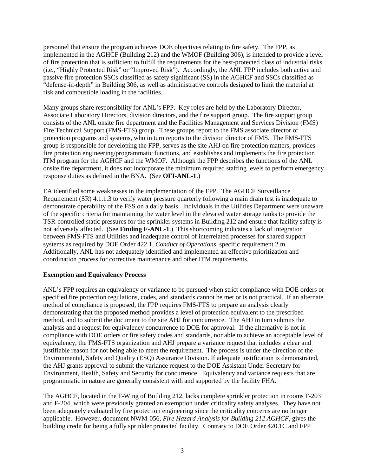personnel that ensure the program achieves DOE objectives relating to fire safety. The FPP, as implemented in the AGHCF (Building 212) and the WMOF (Building 306), is intended to provide a level of fire protection that is sufficient to fulfill the requirements for the best-protected class of industrial risks (i.e., "Highly Protected Risk" or "Improved Risk"). Accordingly, the ANL FPP includes both active and passive fire protection SSCs classified as safety significant (SS) in the AGHCF and SSCs classified as "defense-in-depth" in Building 306, as well as administrative controls designed to limit the material at risk and combustible loading in the facilities.

Many groups share responsibility for ANL's FPP. Key roles are held by the Laboratory Director, Associate Laboratory Directors, division directors, and the fire support group. The fire support group consists of the ANL onsite fire department and the Facilities Management and Services Division (FMS) Fire Technical Support (FMS-FTS) group. These groups report to the FMS associate director of protection programs and systems, who in turn reports to the division director of FMS. The FMS-FTS group is responsible for developing the FPP, serves as the site AHJ on fire protection matters, provides fire protection engineering/programmatic functions, and establishes and implements the fire protection ITM program for the AGHCF and the WMOF. Although the FPP describes the functions of the ANL onsite fire department, it does not incorporate the minimum required staffing levels to perform emergency response duties as defined in the BNA. (See **OFI-ANL-1**.)

EA identified some weaknesses in the implementation of the FPP. The AGHCF Surveillance Requirement (SR) 4.1.1.3 to verify water pressure quarterly following a main drain test is inadequate to demonstrate operability of the FSS on a daily basis. Individuals in the Utilities Department were unaware of the specific criteria for maintaining the water level in the elevated water storage tanks to provide the TSR-controlled static pressures for the sprinkler systems in Building 212 and ensure that facility safety is not adversely affected. (See **Finding F-ANL-1**.) This shortcoming indicates a lack of integration between FMS-FTS and Utilities and inadequate control of interrelated processes for shared support systems as required by DOE Order 422.1, *Conduct of Operations*, specific requirement 2.m. Additionally, ANL has not adequately identified and implemented an effective prioritization and coordination process for corrective maintenance and other ITM requirements.

#### **Exemption and Equivalency Process**

ANL's FPP requires an equivalency or variance to be pursued when strict compliance with DOE orders or specified fire protection regulations, codes, and standards cannot be met or is not practical. If an alternate method of compliance is proposed, the FPP requires FMS-FTS to prepare an analysis clearly demonstrating that the proposed method provides a level of protection equivalent to the prescribed method, and to submit the document to the site AHJ for concurrence. The AHJ in turn submits the analysis and a request for equivalency concurrence to DOE for approval. If the alternative is not in compliance with DOE orders or fire safety codes and standards, nor able to achieve an acceptable level of equivalency, the FMS-FTS organization and AHJ prepare a variance request that includes a clear and justifiable reason for not being able to meet the requirement. The process is under the direction of the Environmental, Safety and Quality (ESQ) Assurance Division. If adequate justification is demonstrated, the AHJ grants approval to submit the variance request to the DOE Assistant Under Secretary for Environment, Health, Safety and Security for concurrence. Equivalency and variance requests that are programmatic in nature are generally consistent with and supported by the facility FHA.

The AGHCF, located in the F-Wing of Building 212, lacks complete sprinkler protection in rooms F-203 and F-204, which were previously granted an exemption under criticality safety analyses. They have not been adequately evaluated by fire protection engineering since the criticality concerns are no longer applicable. However, document NWM-056, *Fire Hazard Analysis for Building 212 AGHCF*, gives the building credit for being a fully sprinkler protected facility. Contrary to DOE Order 420.1C and FPP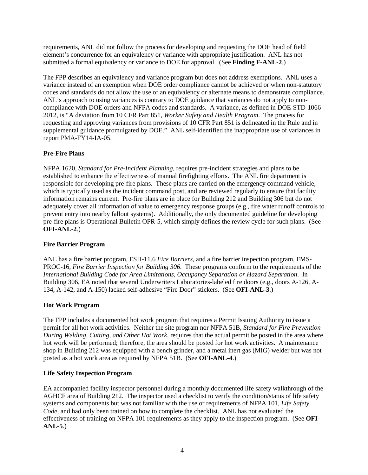requirements, ANL did not follow the process for developing and requesting the DOE head of field element's concurrence for an equivalency or variance with appropriate justification. ANL has not submitted a formal equivalency or variance to DOE for approval. (See **Finding F-ANL-2**.)

The FPP describes an equivalency and variance program but does not address exemptions. ANL uses a variance instead of an exemption when DOE order compliance cannot be achieved or when non-statutory codes and standards do not allow the use of an equivalency or alternate means to demonstrate compliance. ANL's approach to using variances is contrary to DOE guidance that variances do not apply to noncompliance with DOE orders and NFPA codes and standards. A variance, as defined in DOE-STD-1066- 2012, is "A deviation from 10 CFR Part 851, *Worker Safety and Health Program*. The process for requesting and approving variances from provisions of 10 CFR Part 851 is delineated in the Rule and in supplemental guidance promulgated by DOE." ANL self-identified the inappropriate use of variances in report PMA-FY14-IA-05.

## **Pre-Fire Plans**

NFPA 1620, *Standard for Pre-Incident Planning*, requires pre-incident strategies and plans to be established to enhance the effectiveness of manual firefighting efforts. The ANL fire department is responsible for developing pre-fire plans. These plans are carried on the emergency command vehicle, which is typically used as the incident command post, and are reviewed regularly to ensure that facility information remains current. Pre-fire plans are in place for Building 212 and Building 306 but do not adequately cover all information of value to emergency response groups (e.g., fire water runoff controls to prevent entry into nearby fallout systems). Additionally, the only documented guideline for developing pre-fire plans is Operational Bulletin OPR-5, which simply defines the review cycle for such plans. (See **OFI-ANL-2**.)

## **Fire Barrier Program**

ANL has a fire barrier program, ESH-11.6 *Fire Barriers*, and a fire barrier inspection program, FMS-PROC-16, *Fire Barrier Inspection for Building 306*. These programs conform to the requirements of the *International Building Code for Area Limitations, Occupancy Separation or Hazard Separation*. In Building 306, EA noted that several Underwriters Laboratories-labeled fire doors (e.g., doors A-126, A-134, A-142, and A-150) lacked self-adhesive "Fire Door" stickers. (See **OFI-ANL-3**.)

## **Hot Work Program**

The FPP includes a documented hot work program that requires a Permit Issuing Authority to issue a permit for all hot work activities. Neither the site program nor NFPA 51B, *Standard for Fire Prevention During Welding, Cutting, and Other Hot Work*, requires that the actual permit be posted in the area where hot work will be performed; therefore, the area should be posted for hot work activities. A maintenance shop in Building 212 was equipped with a bench grinder, and a metal inert gas (MIG) welder but was not posted as a hot work area as required by NFPA 51B. (See **OFI-ANL-4**.)

## **Life Safety Inspection Program**

EA accompanied facility inspector personnel during a monthly documented life safety walkthrough of the AGHCF area of Building 212. The inspector used a checklist to verify the condition/status of life safety systems and components but was not familiar with the use or requirements of NFPA 101, *Life Safety Code*, and had only been trained on how to complete the checklist. ANL has not evaluated the effectiveness of training on NFPA 101 requirements as they apply to the inspection program. (See **OFI-ANL-5**.)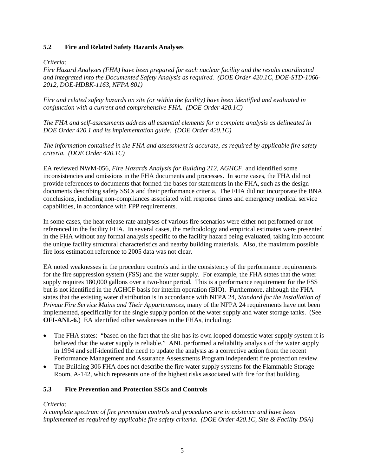## **5.2 Fire and Related Safety Hazards Analyses**

### *Criteria:*

*Fire Hazard Analyses (FHA) have been prepared for each nuclear facility and the results coordinated and integrated into the Documented Safety Analysis as required. (DOE Order 420.1C, DOE-STD-1066- 2012, DOE-HDBK-1163, NFPA 801)*

*Fire and related safety hazards on site (or within the facility) have been identified and evaluated in conjunction with a current and comprehensive FHA. (DOE Order 420.1C)*

*The FHA and self-assessments address all essential elements for a complete analysis as delineated in DOE Order 420.1 and its implementation guide. (DOE Order 420.1C)*

*The information contained in the FHA and assessment is accurate, as required by applicable fire safety criteria. (DOE Order 420.1C)*

EA reviewed NWM-056, *Fire Hazards Analysis for Building 212, AGHCF*, and identified some inconsistencies and omissions in the FHA documents and processes. In some cases, the FHA did not provide references to documents that formed the bases for statements in the FHA, such as the design documents describing safety SSCs and their performance criteria. The FHA did not incorporate the BNA conclusions, including non-compliances associated with response times and emergency medical service capabilities, in accordance with FPP requirements.

In some cases, the heat release rate analyses of various fire scenarios were either not performed or not referenced in the facility FHA. In several cases, the methodology and empirical estimates were presented in the FHA without any formal analysis specific to the facility hazard being evaluated, taking into account the unique facility structural characteristics and nearby building materials. Also, the maximum possible fire loss estimation reference to 2005 data was not clear.

EA noted weaknesses in the procedure controls and in the consistency of the performance requirements for the fire suppression system (FSS) and the water supply. For example, the FHA states that the water supply requires 180,000 gallons over a two-hour period. This is a performance requirement for the FSS but is not identified in the AGHCF basis for interim operation (BIO). Furthermore, although the FHA states that the existing water distribution is in accordance with NFPA 24, *Standard for the Installation of Private Fire Service Mains and Their Appurtenances*, many of the NFPA 24 requirements have not been implemented, specifically for the single supply portion of the water supply and water storage tanks. (See **OFI-ANL-6**.) EA identified other weaknesses in the FHAs, including:

- The FHA states: "based on the fact that the site has its own looped domestic water supply system it is believed that the water supply is reliable." ANL performed a reliability analysis of the water supply in 1994 and self-identified the need to update the analysis as a corrective action from the recent Performance Management and Assurance Assessments Program independent fire protection review.
- The Building 306 FHA does not describe the fire water supply systems for the Flammable Storage Room, A-142, which represents one of the highest risks associated with fire for that building.

## **5.3 Fire Prevention and Protection SSCs and Controls**

## *Criteria:*

*A complete spectrum of fire prevention controls and procedures are in existence and have been implemented as required by applicable fire safety criteria. (DOE Order 420.1C, Site & Facility DSA)*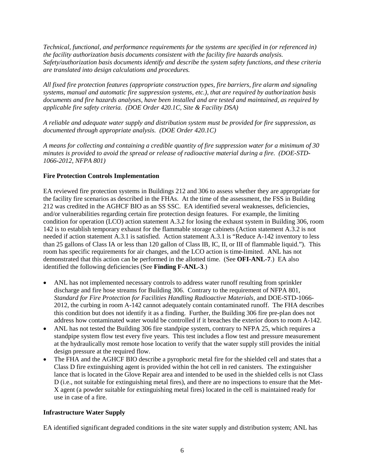*Technical, functional, and performance requirements for the systems are specified in (or referenced in) the facility authorization basis documents consistent with the facility fire hazards analysis. Safety/authorization basis documents identify and describe the system safety functions, and these criteria are translated into design calculations and procedures.*

*All fixed fire protection features (appropriate construction types, fire barriers, fire alarm and signaling systems, manual and automatic fire suppression systems, etc.), that are required by authorization basis documents and fire hazards analyses, have been installed and are tested and maintained, as required by applicable fire safety criteria. (DOE Order 420.1C, Site & Facility DSA)*

*A reliable and adequate water supply and distribution system must be provided for fire suppression, as documented through appropriate analysis. (DOE Order 420.1C)*

*A means for collecting and containing a credible quantity of fire suppression water for a minimum of 30 minutes is provided to avoid the spread or release of radioactive material during a fire. (DOE-STD-1066-2012, NFPA 801)*

## **Fire Protection Controls Implementation**

EA reviewed fire protection systems in Buildings 212 and 306 to assess whether they are appropriate for the facility fire scenarios as described in the FHAs. At the time of the assessment, the FSS in Building 212 was credited in the AGHCF BIO as an SS SSC. EA identified several weaknesses, deficiencies, and/or vulnerabilities regarding certain fire protection design features. For example, the limiting condition for operation (LCO) action statement A.3.2 for losing the exhaust system in Building 306, room 142 is to establish temporary exhaust for the flammable storage cabinets (Action statement A.3.2 is not needed if action statement A.3.1 is satisfied. Action statement A.3.1 is "Reduce A-142 inventory to less than 25 gallons of Class IA or less than 120 gallon of Class IB, IC, II, or III of flammable liquid."). This room has specific requirements for air changes, and the LCO action is time-limited. ANL has not demonstrated that this action can be performed in the allotted time. (See **OFI-ANL-7**.) EA also identified the following deficiencies (See **Finding F-ANL-3**.)

- ANL has not implemented necessary controls to address water runoff resulting from sprinkler discharge and fire hose streams for Building 306. Contrary to the requirement of NFPA 801, *Standard for Fire Protection for Facilities Handling Radioactive Materials*, and DOE-STD-1066- 2012, the curbing in room A-142 cannot adequately contain contaminated runoff. The FHA describes this condition but does not identify it as a finding. Further, the Building 306 fire pre-plan does not address how contaminated water would be controlled if it breaches the exterior doors to room A-142.
- ANL has not tested the Building 306 fire standpipe system, contrary to NFPA 25, which requires a standpipe system flow test every five years. This test includes a flow test and pressure measurement at the hydraulically most remote hose location to verify that the water supply still provides the initial design pressure at the required flow.
- The FHA and the AGHCF BIO describe a pyrophoric metal fire for the shielded cell and states that a Class D fire extinguishing agent is provided within the hot cell in red canisters. The extinguisher lance that is located in the Glove Repair area and intended to be used in the shielded cells is not Class D (i.e., not suitable for extinguishing metal fires), and there are no inspections to ensure that the Met-X agent (a powder suitable for extinguishing metal fires) located in the cell is maintained ready for use in case of a fire.

## **Infrastructure Water Supply**

EA identified significant degraded conditions in the site water supply and distribution system; ANL has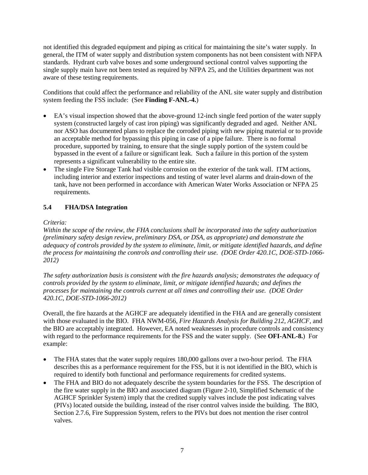not identified this degraded equipment and piping as critical for maintaining the site's water supply. In general, the ITM of water supply and distribution system components has not been consistent with NFPA standards. Hydrant curb valve boxes and some underground sectional control valves supporting the single supply main have not been tested as required by NFPA 25, and the Utilities department was not aware of these testing requirements.

Conditions that could affect the performance and reliability of the ANL site water supply and distribution system feeding the FSS include: (See **Finding F-ANL-4.**)

- EA's visual inspection showed that the above-ground 12-inch single feed portion of the water supply system (constructed largely of cast iron piping) was significantly degraded and aged. Neither ANL nor ASO has documented plans to replace the corroded piping with new piping material or to provide an acceptable method for bypassing this piping in case of a pipe failure. There is no formal procedure, supported by training, to ensure that the single supply portion of the system could be bypassed in the event of a failure or significant leak. Such a failure in this portion of the system represents a significant vulnerability to the entire site.
- The single Fire Storage Tank had visible corrosion on the exterior of the tank wall. ITM actions, including interior and exterior inspections and testing of water level alarms and drain-down of the tank, have not been performed in accordance with American Water Works Association or NFPA 25 requirements.

## **5.4 FHA/DSA Integration**

## *Criteria:*

*Within the scope of the review, the FHA conclusions shall be incorporated into the safety authorization (preliminary safety design review, preliminary DSA, or DSA, as appropriate) and demonstrate the adequacy of controls provided by the system to eliminate, limit, or mitigate identified hazards, and define the process for maintaining the controls and controlling their use. (DOE Order 420.1C, DOE-STD-1066- 2012)*

*The safety authorization basis is consistent with the fire hazards analysis; demonstrates the adequacy of controls provided by the system to eliminate, limit, or mitigate identified hazards; and defines the processes for maintaining the controls current at all times and controlling their use. (DOE Order 420.1C, DOE-STD-1066-2012)*

Overall, the fire hazards at the AGHCF are adequately identified in the FHA and are generally consistent with those evaluated in the BIO. FHA NWM-056, *Fire Hazards Analysis for Building 212, AGHCF*, and the BIO are acceptably integrated. However, EA noted weaknesses in procedure controls and consistency with regard to the performance requirements for the FSS and the water supply. (See **OFI-ANL-8.**) For example:

- The FHA states that the water supply requires 180,000 gallons over a two-hour period. The FHA describes this as a performance requirement for the FSS, but it is not identified in the BIO, which is required to identify both functional and performance requirements for credited systems.
- The FHA and BIO do not adequately describe the system boundaries for the FSS. The description of the fire water supply in the BIO and associated diagram (Figure 2-10, Simplified Schematic of the AGHCF Sprinkler System) imply that the credited supply valves include the post indicating valves (PIVs) located outside the building, instead of the riser control valves inside the building. The BIO, Section 2.7.6, Fire Suppression System, refers to the PIVs but does not mention the riser control valves.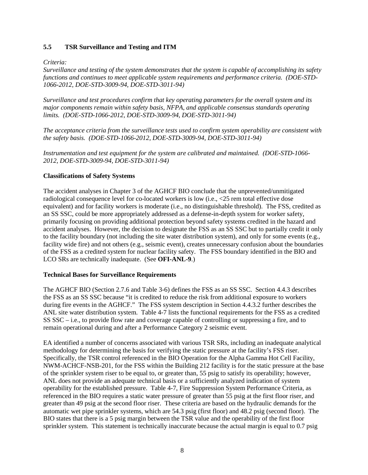## **5.5 TSR Surveillance and Testing and ITM**

#### *Criteria:*

*Surveillance and testing of the system demonstrates that the system is capable of accomplishing its safety functions and continues to meet applicable system requirements and performance criteria. (DOE-STD-1066-2012, DOE-STD-3009-94, DOE-STD-3011-94)*

*Surveillance and test procedures confirm that key operating parameters for the overall system and its major components remain within safety basis, NFPA, and applicable consensus standards operating limits. (DOE-STD-1066-2012, DOE-STD-3009-94, DOE-STD-3011-94)*

*The acceptance criteria from the surveillance tests used to confirm system operability are consistent with the safety basis. (DOE-STD-1066-2012, DOE-STD-3009-94, DOE-STD-3011-94)*

*Instrumentation and test equipment for the system are calibrated and maintained. (DOE-STD-1066- 2012, DOE-STD-3009-94, DOE-STD-3011-94)*

#### **Classifications of Safety Systems**

The accident analyses in Chapter 3 of the AGHCF BIO conclude that the unprevented/unmitigated radiological consequence level for co-located workers is low (i.e., <25 rem total effective dose equivalent) and for facility workers is moderate (i.e., no distinguishable threshold). The FSS, credited as an SS SSC, could be more appropriately addressed as a defense-in-depth system for worker safety, primarily focusing on providing additional protection beyond safety systems credited in the hazard and accident analyses. However, the decision to designate the FSS as an SS SSC but to partially credit it only to the facility boundary (not including the site water distribution system), and only for some events (e.g., facility wide fire) and not others (e.g., seismic event), creates unnecessary confusion about the boundaries of the FSS as a credited system for nuclear facility safety. The FSS boundary identified in the BIO and LCO SRs are technically inadequate. (See **OFI-ANL-9**.)

#### **Technical Bases for Surveillance Requirements**

The AGHCF BIO (Section 2.7.6 and Table 3-6) defines the FSS as an SS SSC. Section 4.4.3 describes the FSS as an SS SSC because "it is credited to reduce the risk from additional exposure to workers during fire events in the AGHCF." The FSS system description in Section 4.4.3.2 further describes the ANL site water distribution system. Table 4-7 lists the functional requirements for the FSS as a credited SS SSC – i.e., to provide flow rate and coverage capable of controlling or suppressing a fire, and to remain operational during and after a Performance Category 2 seismic event.

EA identified a number of concerns associated with various TSR SRs, including an inadequate analytical methodology for determining the basis for verifying the static pressure at the facility's FSS riser. Specifically, the TSR control referenced in the BIO Operation for the Alpha Gamma Hot Cell Facility, NWM-ACHCF-NSB-201, for the FSS within the Building 212 facility is for the static pressure at the base of the sprinkler system riser to be equal to, or greater than, 55 psig to satisfy its operability; however, ANL does not provide an adequate technical basis or a sufficiently analyzed indication of system operability for the established pressure. Table 4-7, Fire Suppression System Performance Criteria, as referenced in the BIO requires a static water pressure of greater than 55 psig at the first floor riser, and greater than 49 psig at the second floor riser. These criteria are based on the hydraulic demands for the automatic wet pipe sprinkler systems, which are 54.3 psig (first floor) and 48.2 psig (second floor). The BIO states that there is a 5 psig margin between the TSR value and the operability of the first floor sprinkler system. This statement is technically inaccurate because the actual margin is equal to 0.7 psig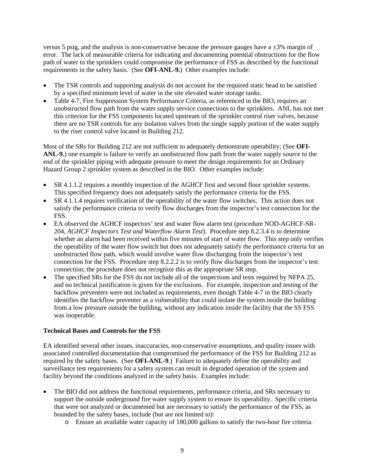versus 5 psig, and the analysis is non-conservative because the pressure gauges have a  $\pm 3\%$  margin of error. The lack of measurable criteria for indicating and documenting potential obstructions for the flow path of water to the sprinklers could compromise the performance of FSS as described by the functional requirements in the safety basis. (See **OFI-ANL-9.**) Other examples include:

- The TSR controls and supporting analysis do not account for the required static head to be satisfied by a specified minimum level of water in the site elevated water storage tanks.
- Table 4-7, Fire Suppression System Performance Criteria, as referenced in the BIO, requires an unobstructed flow path from the water supply service connections to the sprinklers. ANL has not met this criterion for the FSS components located upstream of the sprinkler control riser valves, because there are no TSR controls for any isolation valves from the single supply portion of the water supply to the riser control valve located in Building 212.

Most of the SRs for Building 212 are not sufficient to adequately demonstrate operability; (See **OFI-ANL-9.**) one example is failure to verify an unobstructed flow path from the water supply source to the end of the sprinkler piping with adequate pressure to meet the design requirements for an Ordinary Hazard Group 2 sprinkler system as described in the BIO. Other examples include:

- SR 4.1.1.2 requires a monthly inspection of the AGHCF first and second floor sprinkler systems. This specified frequency does not adequately satisfy the performance criteria for the FSS.
- SR 4.1.1.4 requires verification of the operability of the water flow switches. This action does not satisfy the performance criteria to verify flow discharges from the inspector's test connection for the FSS.
- EA observed the AGHCF inspectors' test and water flow alarm test (procedure NOD-AGHCF-SR-204, *AGHCF Inspectors Test and Waterflow Alarm Test*). Procedure step 8.2.3.4 is to determine whether an alarm had been received within five minutes of start of water flow. This step only verifies the operability of the water flow switch but does not adequately satisfy the performance criteria for an unobstructed flow path, which would involve water flow discharging from the inspector's test connection for the FSS. Procedure step 8.2.2.2 is to verify flow discharges from the inspector's test connection; the procedure does not recognize this as the appropriate SR step.
- The specified SRs for the FSS do not include all of the inspections and tests required by NFPA 25, and no technical justification is given for the exclusions. For example, inspection and testing of the backflow preventers were not included as requirements, even though Table 4-7 in the BIO clearly identifies the backflow preventer as a vulnerability that could isolate the system inside the building from a low pressure outside the building, without any indication inside the facility that the SS FSS was inoperable.

#### **Technical Bases and Controls for the FSS**

EA identified several other issues, inaccuracies, non-conservative assumptions, and quality issues with associated controlled documentation that compromised the performance of the FSS for Building 212 as required by the safety bases. (See **OFI-ANL-9**.) Failure to adequately define the operability and surveillance test requirements for a safety system can result in degraded operation of the system and facility beyond the conditions analyzed in the safety basis. Examples include:

- The BIO did not address the functional requirements, performance criteria, and SRs necessary to support the outside underground fire water supply system to ensure its operability. Specific criteria that were not analyzed or documented but are necessary to satisfy the performance of the FSS, as bounded by the safety bases, include (but are not limited to):
	- o Ensure an available water capacity of 180,000 gallons to satisfy the two-hour fire criteria.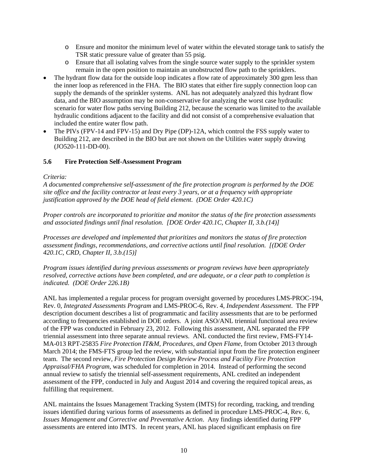- o Ensure and monitor the minimum level of water within the elevated storage tank to satisfy the TSR static pressure value of greater than 55 psig.
- o Ensure that all isolating valves from the single source water supply to the sprinkler system remain in the open position to maintain an unobstructed flow path to the sprinklers.
- The hydrant flow data for the outside loop indicates a flow rate of approximately 300 gpm less than the inner loop as referenced in the FHA. The BIO states that either fire supply connection loop can supply the demands of the sprinkler systems. ANL has not adequately analyzed this hydrant flow data, and the BIO assumption may be non-conservative for analyzing the worst case hydraulic scenario for water flow paths serving Building 212, because the scenario was limited to the available hydraulic conditions adjacent to the facility and did not consist of a comprehensive evaluation that included the entire water flow path.
- The PIVs (FPV-14 and FPV-15) and Dry Pipe (DP)-12A, which control the FSS supply water to Building 212, are described in the BIO but are not shown on the Utilities water supply drawing (JO520-111-DD-00).

## **5.6 Fire Protection Self-Assessment Program**

## *Criteria:*

*A documented comprehensive self-assessment of the fire protection program is performed by the DOE site office and the facility contractor at least every 3 years, or at a frequency with appropriate justification approved by the DOE head of field element. (DOE Order 420.1C)*

*Proper controls are incorporated to prioritize and monitor the status of the fire protection assessments and associated findings until final resolution. [DOE Order 420.1C, Chapter II, 3.b.(14)]*

*Processes are developed and implemented that prioritizes and monitors the status of fire protection assessment findings, recommendations, and corrective actions until final resolution. [(DOE Order 420.1C, CRD, Chapter II, 3.b.(15)]*

*Program issues identified during previous assessments or program reviews have been appropriately resolved, corrective actions have been completed, and are adequate, or a clear path to completion is indicated. (DOE Order 226.1B)* 

ANL has implemented a regular process for program oversight governed by procedures LMS-PROC-194, Rev. 0, *Integrated Assessments Program* and LMS-PROC-6, Rev. 4, *Independent Assessment*. The FPP description document describes a list of programmatic and facility assessments that are to be performed according to frequencies established in DOE orders. A joint ASO/ANL triennial functional area review of the FPP was conducted in February 23, 2012. Following this assessment, ANL separated the FPP triennial assessment into three separate annual reviews. ANL conducted the first review, FMS-FY14- MA-013 RPT-25835 *Fire Protection IT&M, Procedures, and Open Flame*, from October 2013 through March 2014; the FMS-FTS group led the review, with substantial input from the fire protection engineer team. The second review, *Fire Protection Design Review Process and Facility Fire Protection Appraisal/FHA Program*, was scheduled for completion in 2014. Instead of performing the second annual review to satisfy the triennial self-assessment requirements, ANL credited an independent assessment of the FPP, conducted in July and August 2014 and covering the required topical areas, as fulfilling that requirement.

ANL maintains the Issues Management Tracking System (IMTS) for recording, tracking, and trending issues identified during various forms of assessments as defined in procedure LMS-PROC-4, Rev. 6, *Issues Management and Corrective and Preventative Action*. Any findings identified during FPP assessments are entered into IMTS. In recent years, ANL has placed significant emphasis on fire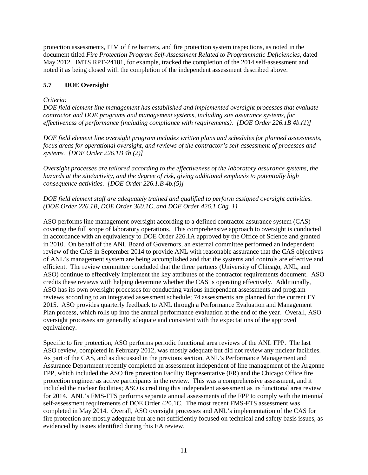protection assessments, ITM of fire barriers, and fire protection system inspections, as noted in the document titled *Fire Protection Program Self-Assessment Related to Programmatic Deficiencies*, dated May 2012. IMTS RPT-24181, for example, tracked the completion of the 2014 self-assessment and noted it as being closed with the completion of the independent assessment described above.

## **5.7 DOE Oversight**

## *Criteria:*

*DOE field element line management has established and implemented oversight processes that evaluate contractor and DOE programs and management systems, including site assurance systems, for effectiveness of performance (including compliance with requirements). [DOE Order 226.1B 4b.(1)]*

*DOE field element line oversight program includes written plans and schedules for planned assessments, focus areas for operational oversight, and reviews of the contractor's self-assessment of processes and systems. [DOE Order 226.1B 4b (2)]*

*Oversight processes are tailored according to the effectiveness of the laboratory assurance systems, the hazards at the site/activity, and the degree of risk, giving additional emphasis to potentially high consequence activities. [DOE Order 226.1.B 4b.(5)]*

## *DOE field element staff are adequately trained and qualified to perform assigned oversight activities. (DOE Order 226.1B, DOE Order 360.1C, and DOE Order 426.1 Chg. 1)*

ASO performs line management oversight according to a defined contractor assurance system (CAS) covering the full scope of laboratory operations. This comprehensive approach to oversight is conducted in accordance with an equivalency to DOE Order 226.1A approved by the Office of Science and granted in 2010. On behalf of the ANL Board of Governors, an external committee performed an independent review of the CAS in September 2014 to provide ANL with reasonable assurance that the CAS objectives of ANL's management system are being accomplished and that the systems and controls are effective and efficient. The review committee concluded that the three partners (University of Chicago, ANL, and ASO) continue to effectively implement the key attributes of the contractor requirements document. ASO credits these reviews with helping determine whether the CAS is operating effectively. Additionally, ASO has its own oversight processes for conducting various independent assessments and program reviews according to an integrated assessment schedule; 74 assessments are planned for the current FY 2015. ASO provides quarterly feedback to ANL through a Performance Evaluation and Management Plan process, which rolls up into the annual performance evaluation at the end of the year. Overall, ASO oversight processes are generally adequate and consistent with the expectations of the approved equivalency.

Specific to fire protection, ASO performs periodic functional area reviews of the ANL FPP. The last ASO review, completed in February 2012, was mostly adequate but did not review any nuclear facilities. As part of the CAS, and as discussed in the previous section, ANL's Performance Management and Assurance Department recently completed an assessment independent of line management of the Argonne FPP, which included the ASO fire protection Facility Representative (FR) and the Chicago Office fire protection engineer as active participants in the review. This was a comprehensive assessment, and it included the nuclear facilities; ASO is crediting this independent assessment as its functional area review for 2014. ANL's FMS-FTS performs separate annual assessments of the FPP to comply with the triennial self-assessment requirements of DOE Order 420.1C. The most recent FMS-FTS assessment was completed in May 2014. Overall, ASO oversight processes and ANL's implementation of the CAS for fire protection are mostly adequate but are not sufficiently focused on technical and safety basis issues, as evidenced by issues identified during this EA review.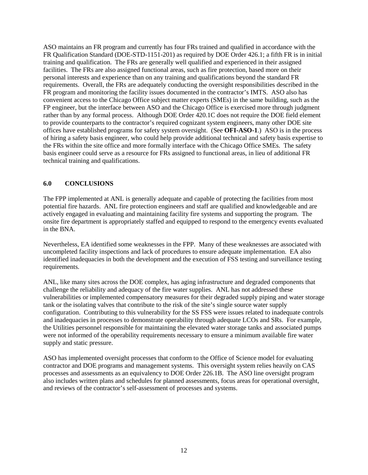ASO maintains an FR program and currently has four FRs trained and qualified in accordance with the FR Qualification Standard (DOE-STD-1151-201) as required by DOE Order 426.1; a fifth FR is in initial training and qualification. The FRs are generally well qualified and experienced in their assigned facilities. The FRs are also assigned functional areas, such as fire protection, based more on their personal interests and experience than on any training and qualifications beyond the standard FR requirements. Overall, the FRs are adequately conducting the oversight responsibilities described in the FR program and monitoring the facility issues documented in the contractor's IMTS. ASO also has convenient access to the Chicago Office subject matter experts (SMEs) in the same building, such as the FP engineer, but the interface between ASO and the Chicago Office is exercised more through judgment rather than by any formal process. Although DOE Order 420.1C does not require the DOE field element to provide counterparts to the contractor's required cognizant system engineers, many other DOE site offices have established programs for safety system oversight. (See **OFI-ASO-1**.) ASO is in the process of hiring a safety basis engineer, who could help provide additional technical and safety basis expertise to the FRs within the site office and more formally interface with the Chicago Office SMEs. The safety basis engineer could serve as a resource for FRs assigned to functional areas, in lieu of additional FR technical training and qualifications.

## **6.0 CONCLUSIONS**

The FPP implemented at ANL is generally adequate and capable of protecting the facilities from most potential fire hazards. ANL fire protection engineers and staff are qualified and knowledgeable and are actively engaged in evaluating and maintaining facility fire systems and supporting the program. The onsite fire department is appropriately staffed and equipped to respond to the emergency events evaluated in the BNA.

Nevertheless, EA identified some weaknesses in the FPP. Many of these weaknesses are associated with uncompleted facility inspections and lack of procedures to ensure adequate implementation. EA also identified inadequacies in both the development and the execution of FSS testing and surveillance testing requirements.

ANL, like many sites across the DOE complex, has aging infrastructure and degraded components that challenge the reliability and adequacy of the fire water supplies. ANL has not addressed these vulnerabilities or implemented compensatory measures for their degraded supply piping and water storage tank or the isolating valves that contribute to the risk of the site's single source water supply configuration. Contributing to this vulnerability for the SS FSS were issues related to inadequate controls and inadequacies in processes to demonstrate operability through adequate LCOs and SRs. For example, the Utilities personnel responsible for maintaining the elevated water storage tanks and associated pumps were not informed of the operability requirements necessary to ensure a minimum available fire water supply and static pressure.

ASO has implemented oversight processes that conform to the Office of Science model for evaluating contractor and DOE programs and management systems. This oversight system relies heavily on CAS processes and assessments as an equivalency to DOE Order 226.1B. The ASO line oversight program also includes written plans and schedules for planned assessments, focus areas for operational oversight, and reviews of the contractor's self-assessment of processes and systems.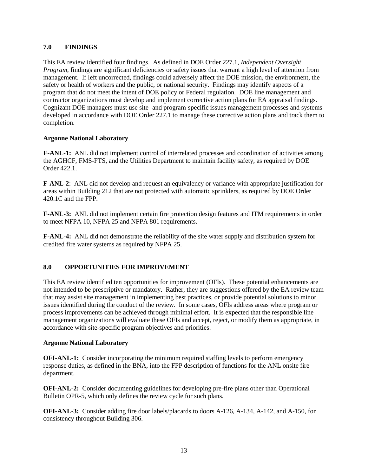## **7.0 FINDINGS**

This EA review identified four findings. As defined in DOE Order 227.1, *Independent Oversight Program*, findings are significant deficiencies or safety issues that warrant a high level of attention from management. If left uncorrected, findings could adversely affect the DOE mission, the environment, the safety or health of workers and the public, or national security. Findings may identify aspects of a program that do not meet the intent of DOE policy or Federal regulation. DOE line management and contractor organizations must develop and implement corrective action plans for EA appraisal findings. Cognizant DOE managers must use site- and program-specific issues management processes and systems developed in accordance with DOE Order 227.1 to manage these corrective action plans and track them to completion.

#### **Argonne National Laboratory**

**F-ANL-1:** ANL did not implement control of interrelated processes and coordination of activities among the AGHCF, FMS-FTS, and the Utilities Department to maintain facility safety, as required by DOE Order 422.1.

**F-ANL-2**: ANL did not develop and request an equivalency or variance with appropriate justification for areas within Building 212 that are not protected with automatic sprinklers, as required by DOE Order 420.1C and the FPP.

**F-ANL-3:** ANL did not implement certain fire protection design features and ITM requirements in order to meet NFPA 10, NFPA 25 and NFPA 801 requirements.

**F-ANL-4:** ANL did not demonstrate the reliability of the site water supply and distribution system for credited fire water systems as required by NFPA 25.

## **8.0 OPPORTUNITIES FOR IMPROVEMENT**

This EA review identified ten opportunities for improvement (OFIs). These potential enhancements are not intended to be prescriptive or mandatory. Rather, they are suggestions offered by the EA review team that may assist site management in implementing best practices, or provide potential solutions to minor issues identified during the conduct of the review. In some cases, OFIs address areas where program or process improvements can be achieved through minimal effort. It is expected that the responsible line management organizations will evaluate these OFIs and accept, reject, or modify them as appropriate, in accordance with site-specific program objectives and priorities.

#### **Argonne National Laboratory**

**OFI-ANL-1:** Consider incorporating the minimum required staffing levels to perform emergency response duties, as defined in the BNA, into the FPP description of functions for the ANL onsite fire department.

**OFI-ANL-2:** Consider documenting guidelines for developing pre-fire plans other than Operational Bulletin OPR-5, which only defines the review cycle for such plans.

**OFI-ANL-3:** Consider adding fire door labels/placards to doors A-126, A-134, A-142, and A-150, for consistency throughout Building 306.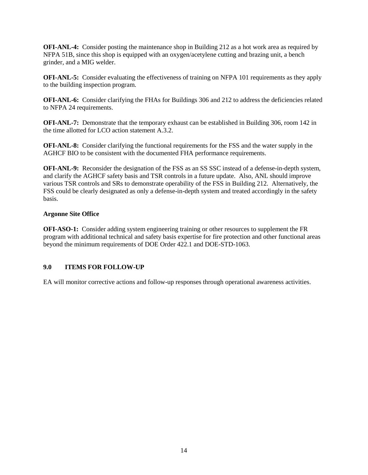**OFI-ANL-4:** Consider posting the maintenance shop in Building 212 as a hot work area as required by NFPA 51B, since this shop is equipped with an oxygen/acetylene cutting and brazing unit, a bench grinder, and a MIG welder.

**OFI-ANL-5:** Consider evaluating the effectiveness of training on NFPA 101 requirements as they apply to the building inspection program.

**OFI-ANL-6:** Consider clarifying the FHAs for Buildings 306 and 212 to address the deficiencies related to NFPA 24 requirements.

**OFI-ANL-7:** Demonstrate that the temporary exhaust can be established in Building 306, room 142 in the time allotted for LCO action statement A.3.2.

**OFI-ANL-8:** Consider clarifying the functional requirements for the FSS and the water supply in the AGHCF BIO to be consistent with the documented FHA performance requirements.

**OFI-ANL-9:** Reconsider the designation of the FSS as an SS SSC instead of a defense-in-depth system, and clarify the AGHCF safety basis and TSR controls in a future update. Also, ANL should improve various TSR controls and SRs to demonstrate operability of the FSS in Building 212. Alternatively, the FSS could be clearly designated as only a defense-in-depth system and treated accordingly in the safety basis.

## **Argonne Site Office**

**OFI-ASO-1:** Consider adding system engineering training or other resources to supplement the FR program with additional technical and safety basis expertise for fire protection and other functional areas beyond the minimum requirements of DOE Order 422.1 and DOE-STD-1063.

## **9.0 ITEMS FOR FOLLOW-UP**

EA will monitor corrective actions and follow-up responses through operational awareness activities.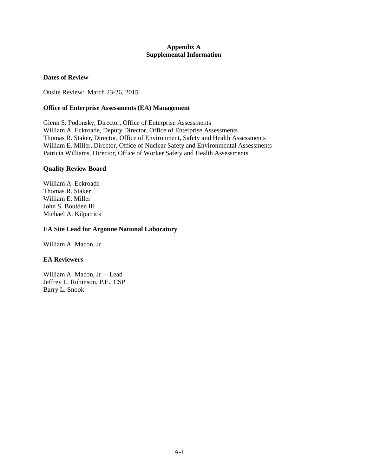#### **Appendix A Supplemental Information**

#### **Dates of Review**

Onsite Review: March 23-26, 2015

#### **Office of Enterprise Assessments (EA) Management**

Glenn S. Podonsky, Director, Office of Enterprise Assessments William A. Eckroade, Deputy Director, Office of Enterprise Assessments Thomas R. Staker, Director, Office of Environment, Safety and Health Assessments William E. Miller, Director, Office of Nuclear Safety and Environmental Assessments Patricia Williams, Director, Office of Worker Safety and Health Assessments

#### **Quality Review Board**

William A. Eckroade Thomas R. Staker William E. Miller John S. Boulden III Michael A. Kilpatrick

#### **EA Site Lead for Argonne National Laboratory**

William A. Macon, Jr.

#### **EA Reviewers**

William A. Macon, Jr. – Lead Jeffrey L. Robinson, P.E., CSP Barry L. Snook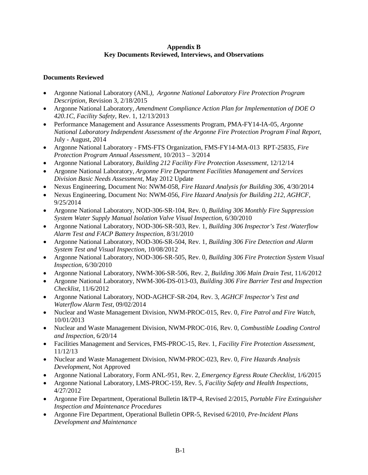#### **Appendix B Key Documents Reviewed, Interviews, and Observations**

## **Documents Reviewed**

- Argonne National Laboratory (ANL*), Argonne National Laboratory Fire Protection Program Description*, Revision 3, 2/18/2015
- Argonne National Laboratory, *Amendment Compliance Action Plan for Implementation of DOE O 420.1C, Facility Safety*, Rev. 1, 12/13/2013
- Performance Management and Assurance Assessments Program, PMA-FY14-IA-05, *Argonne National Laboratory Independent Assessment of the Argonne Fire Protection Program Final Report*, July - August, 2014
- Argonne National Laboratory FMS-FTS Organization, FMS-FY14-MA-013 RPT-25835, *Fire Protection Program Annual Assessment*, 10/2013 – 3/2014
- Argonne National Laboratory, *Building 212 Facility Fire Protection Assessment*, 12/12/14
- Argonne National Laboratory, *Argonne Fire Department Facilities Management and Services Division Basic Needs Assessment*, May 2012 Update
- Nexus Engineering, Document No: NWM-058, *Fire Hazard Analysis for Building 306*, 4/30/2014
- Nexus Engineering, Document No: NWM-056, *Fire Hazard Analysis for Building 212, AGHCF*, 9/25/2014
- Argonne National Laboratory, NOD-306-SR-104, Rev. 0, *Building 306 Monthly Fire Suppression System Water Supply Manual Isolation Valve Visual Inspection*, 6/30/2010
- Argonne National Laboratory, NOD-306-SR-503, Rev. 1, *Building 306 Inspector's Test /Waterflow Alarm Test and FACP Battery Inspection*, 8/31/2010
- Argonne National Laboratory, NOD-306-SR-504, Rev. 1, *Building 306 Fire Detection and Alarm System Test and Visual Inspection*, 10/08/2012
- Argonne National Laboratory, NOD-306-SR-505, Rev. 0, *Building 306 Fire Protection System Visual Inspection*, 6/30/2010
- Argonne National Laboratory, NWM-306-SR-506, Rev. 2, *Building 306 Main Drain Test*, 11/6/2012
- Argonne National Laboratory, NWM-306-DS-013-03, *Building 306 Fire Barrier Test and Inspection Checklist*, 11/6/2012
- Argonne National Laboratory, NOD-AGHCF-SR-204, Rev. 3, *AGHCF Inspector's Test and Waterflow Alarm Test*, 09/02/2014
- Nuclear and Waste Management Division, NWM-PROC-015, Rev. 0, *Fire Patrol and Fire Watch*, 10/01/2013
- Nuclear and Waste Management Division, NWM-PROC-016, Rev. 0, *Combustible Loading Control and Inspection*, 6/20/14
- Facilities Management and Services, FMS-PROC-15, Rev. 1, *Facility Fire Protection Assessment*, 11/12/13
- Nuclear and Waste Management Division, NWM-PROC-023, Rev. 0, *Fire Hazards Analysis Development*, Not Approved
- Argonne National Laboratory, Form ANL-951, Rev. 2, *Emergency Egress Route Checklist*, 1/6/2015
- Argonne National Laboratory, LMS-PROC-159, Rev. 5, *Facility Safety and Health Inspections*, 4/27/2012
- Argonne Fire Department, Operational Bulletin I&TP-4, Revised 2/2015, *Portable Fire Extinguisher Inspection and Maintenance Procedures*
- Argonne Fire Department, Operational Bulletin OPR-5, Revised 6/2010, *Pre-Incident Plans Development and Maintenance*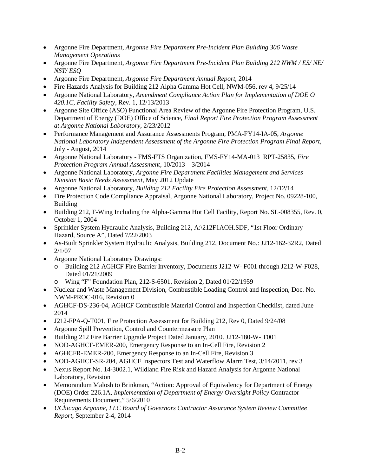- Argonne Fire Department, *Argonne Fire Department Pre-Incident Plan Building 306 Waste Management Operations*
- Argonne Fire Department, *Argonne Fire Department Pre-Incident Plan Building 212 NWM / ES/ NE/ NST/ ESQ*
- Argonne Fire Department, *Argonne Fire Department Annual Report*, 2014
- Fire Hazards Analysis for Building 212 Alpha Gamma Hot Cell, NWM-056, rev 4, 9/25/14
- Argonne National Laboratory, *Amendment Compliance Action Plan for Implementation of DOE O 420.1C, Facility Safety*, Rev. 1, 12/13/2013
- Argonne Site Office (ASO) Functional Area Review of the Argonne Fire Protection Program, U.S. Department of Energy (DOE) Office of Science, *Final Report Fire Protection Program Assessment at Argonne National Laboratory*, 2/23/2012
- Performance Management and Assurance Assessments Program, PMA-FY14-IA-05, *Argonne National Laboratory Independent Assessment of the Argonne Fire Protection Program Final Report*, July - August, 2014
- Argonne National Laboratory FMS-FTS Organization, FMS-FY14-MA-013 RPT-25835, *Fire Protection Program Annual Assessment*, 10/2013 – 3/2014
- Argonne National Laboratory, *Argonne Fire Department Facilities Management and Services Division Basic Needs Assessment*, May 2012 Update
- Argonne National Laboratory, *Building 212 Facility Fire Protection Assessment*, 12/12/14
- Fire Protection Code Compliance Appraisal, Argonne National Laboratory, Project No. 09228-100, Building
- Building 212, F-Wing Including the Alpha-Gamma Hot Cell Facility, Report No. SL-008355, Rev. 0, October 1, 2004
- Sprinkler System Hydraulic Analysis, Building 212, A:\212F1AOH.SDF, "1st Floor Ordinary Hazard, Source A", Dated 7/22/2003
- As-Built Sprinkler System Hydraulic Analysis, Building 212, Document No.: J212-162-32R2, Dated 2/1/07
- Argonne National Laboratory Drawings:
	- o Building 212 AGHCF Fire Barrier Inventory, Documents J212-W- F001 through J212-W-F028, Dated 01/21/2009
	- o Wing "F" Foundation Plan, 212-S-6501, Revision 2, Dated 01/22/1959
- Nuclear and Waste Management Division, Combustible Loading Control and Inspection, Doc. No. NWM-PROC-016, Revision 0
- AGHCF-DS-236-04, AGHCF Combustible Material Control and Inspection Checklist, dated June 2014
- J212-FPA-Q-T001, Fire Protection Assessment for Building 212, Rev 0, Dated 9/24/08
- Argonne Spill Prevention, Control and Countermeasure Plan
- Building 212 Fire Barrier Upgrade Project Dated January, 2010. J212-180-W- T001
- NOD-AGHCF-EMER-200, Emergency Response to an In-Cell Fire, Revision 2
- AGHCFR-EMER-200, Emergency Response to an In-Cell Fire, Revision 3
- NOD-AGHCF-SR-204, AGHCF Inspectors Test and Waterflow Alarm Test,  $3/14/2011$ , rev 3
- Nexus Report No. 14-3002.1, Wildland Fire Risk and Hazard Analysis for Argonne National Laboratory, Revision
- Memorandum Malosh to Brinkman, "Action: Approval of Equivalency for Department of Energy (DOE) Order 226.1A, *Implementation of Department of Energy Oversight Policy* Contractor Requirements Document," 5/6/2010
- *UChicago Argonne, LLC Board of Governors Contractor Assurance System Review Committee Report*, September 2-4, 2014